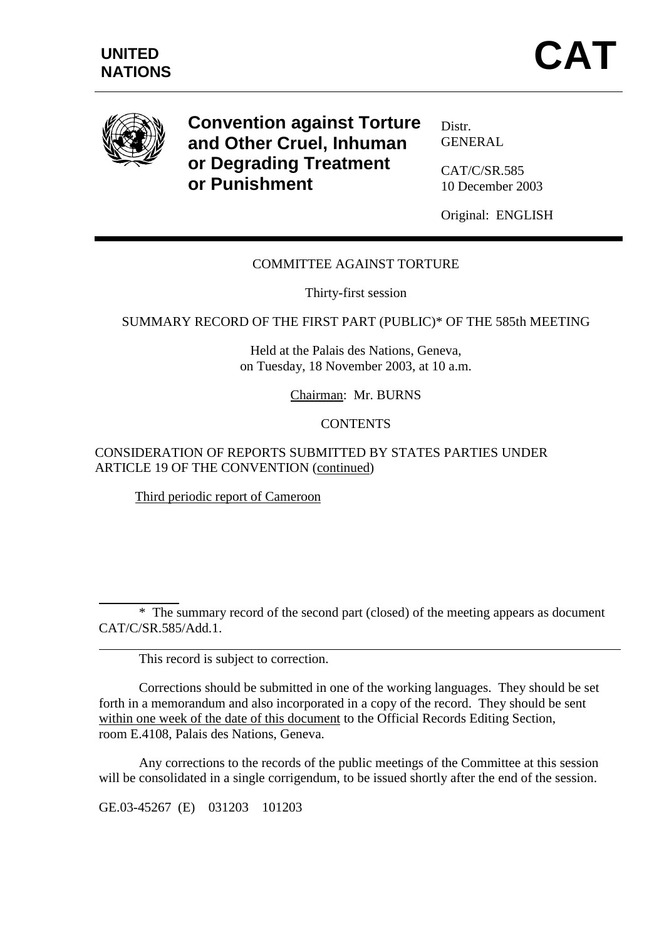

 $\overline{a}$ 

 $\overline{a}$ 

**Convention against Torture and Other Cruel, Inhuman or Degrading Treatment or Punishment** 

Distr. GENERAL

CAT/C/SR.585 10 December 2003

Original: ENGLISH

# COMMITTEE AGAINST TORTURE

Thirty-first session

SUMMARY RECORD OF THE FIRST PART (PUBLIC)\* OF THE 585th MEETING

Held at the Palais des Nations, Geneva, on Tuesday, 18 November 2003, at 10 a.m.

Chairman: Mr. BURNS

#### **CONTENTS**

#### CONSIDERATION OF REPORTS SUBMITTED BY STATES PARTIES UNDER ARTICLE 19 OF THE CONVENTION (continued)

Third periodic report of Cameroon

 \* The summary record of the second part (closed) of the meeting appears as document CAT/C/SR.585/Add.1.

This record is subject to correction.

 Corrections should be submitted in one of the working languages. They should be set forth in a memorandum and also incorporated in a copy of the record. They should be sent within one week of the date of this document to the Official Records Editing Section, room E.4108, Palais des Nations, Geneva.

 Any corrections to the records of the public meetings of the Committee at this session will be consolidated in a single corrigendum, to be issued shortly after the end of the session.

GE.03-45267 (E) 031203 101203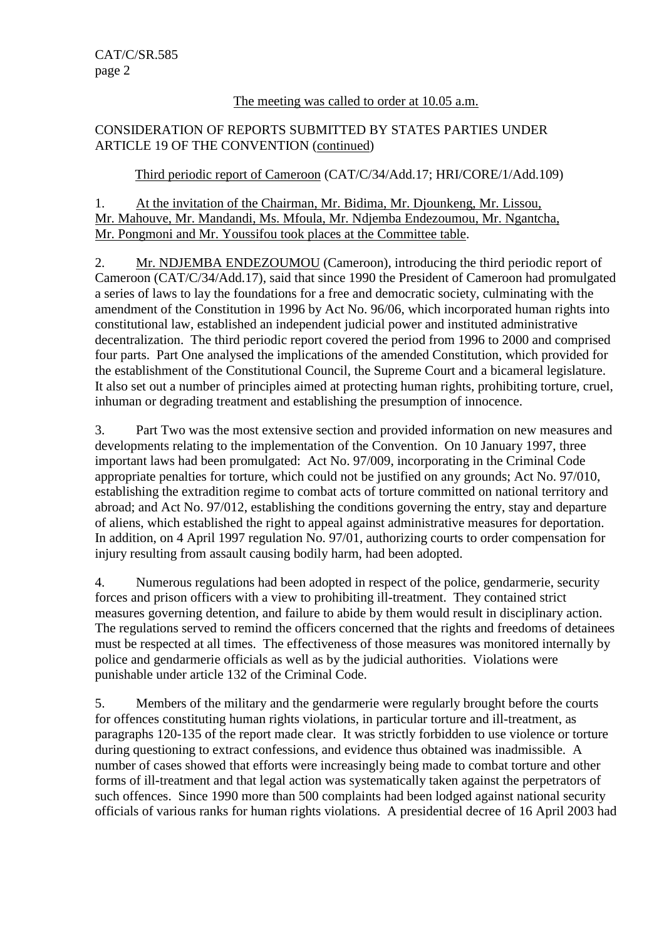### The meeting was called to order at 10.05 a.m.

# CONSIDERATION OF REPORTS SUBMITTED BY STATES PARTIES UNDER ARTICLE 19 OF THE CONVENTION (continued)

# Third periodic report of Cameroon (CAT/C/34/Add.17; HRI/CORE/1/Add.109)

1. At the invitation of the Chairman, Mr. Bidima, Mr. Djounkeng, Mr. Lissou, Mr. Mahouve, Mr. Mandandi, Ms. Mfoula, Mr. Ndjemba Endezoumou, Mr. Ngantcha, Mr. Pongmoni and Mr. Youssifou took places at the Committee table.

2. Mr. NDJEMBA ENDEZOUMOU (Cameroon), introducing the third periodic report of Cameroon (CAT/C/34/Add.17), said that since 1990 the President of Cameroon had promulgated a series of laws to lay the foundations for a free and democratic society, culminating with the amendment of the Constitution in 1996 by Act No. 96/06, which incorporated human rights into constitutional law, established an independent judicial power and instituted administrative decentralization. The third periodic report covered the period from 1996 to 2000 and comprised four parts. Part One analysed the implications of the amended Constitution, which provided for the establishment of the Constitutional Council, the Supreme Court and a bicameral legislature. It also set out a number of principles aimed at protecting human rights, prohibiting torture, cruel, inhuman or degrading treatment and establishing the presumption of innocence.

3. Part Two was the most extensive section and provided information on new measures and developments relating to the implementation of the Convention. On 10 January 1997, three important laws had been promulgated: Act No. 97/009, incorporating in the Criminal Code appropriate penalties for torture, which could not be justified on any grounds; Act No. 97/010, establishing the extradition regime to combat acts of torture committed on national territory and abroad; and Act No. 97/012, establishing the conditions governing the entry, stay and departure of aliens, which established the right to appeal against administrative measures for deportation. In addition, on 4 April 1997 regulation No. 97/01, authorizing courts to order compensation for injury resulting from assault causing bodily harm, had been adopted.

4. Numerous regulations had been adopted in respect of the police, gendarmerie, security forces and prison officers with a view to prohibiting ill-treatment. They contained strict measures governing detention, and failure to abide by them would result in disciplinary action. The regulations served to remind the officers concerned that the rights and freedoms of detainees must be respected at all times. The effectiveness of those measures was monitored internally by police and gendarmerie officials as well as by the judicial authorities. Violations were punishable under article 132 of the Criminal Code.

5. Members of the military and the gendarmerie were regularly brought before the courts for offences constituting human rights violations, in particular torture and ill-treatment, as paragraphs 120-135 of the report made clear. It was strictly forbidden to use violence or torture during questioning to extract confessions, and evidence thus obtained was inadmissible. A number of cases showed that efforts were increasingly being made to combat torture and other forms of ill-treatment and that legal action was systematically taken against the perpetrators of such offences. Since 1990 more than 500 complaints had been lodged against national security officials of various ranks for human rights violations. A presidential decree of 16 April 2003 had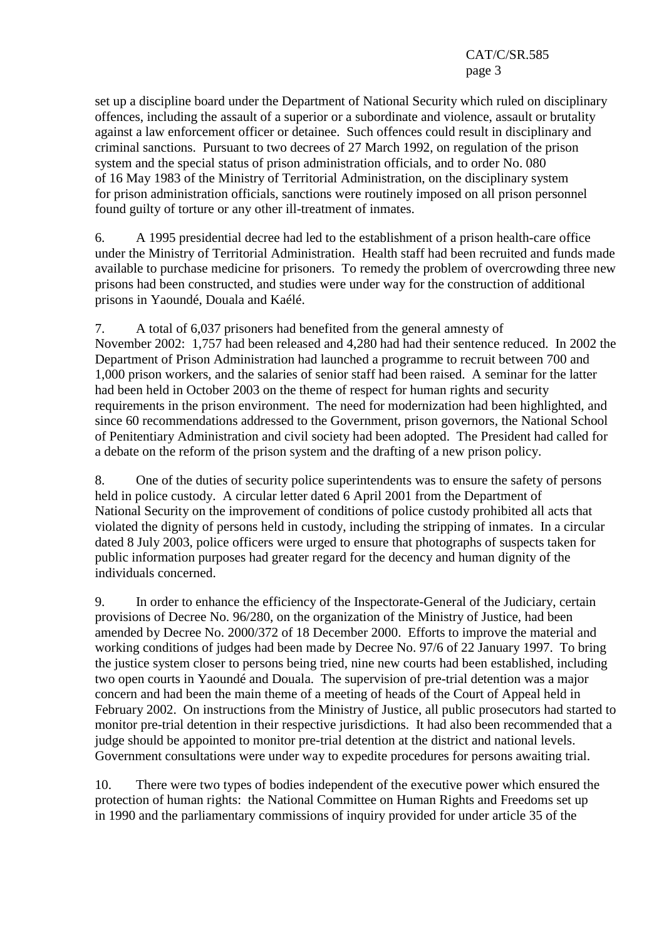set up a discipline board under the Department of National Security which ruled on disciplinary offences, including the assault of a superior or a subordinate and violence, assault or brutality against a law enforcement officer or detainee. Such offences could result in disciplinary and criminal sanctions. Pursuant to two decrees of 27 March 1992, on regulation of the prison system and the special status of prison administration officials, and to order No. 080 of 16 May 1983 of the Ministry of Territorial Administration, on the disciplinary system for prison administration officials, sanctions were routinely imposed on all prison personnel found guilty of torture or any other ill-treatment of inmates.

6. A 1995 presidential decree had led to the establishment of a prison health-care office under the Ministry of Territorial Administration. Health staff had been recruited and funds made available to purchase medicine for prisoners. To remedy the problem of overcrowding three new prisons had been constructed, and studies were under way for the construction of additional prisons in Yaoundé, Douala and Kaélé.

7. A total of 6,037 prisoners had benefited from the general amnesty of November 2002: 1,757 had been released and 4,280 had had their sentence reduced. In 2002 the Department of Prison Administration had launched a programme to recruit between 700 and 1,000 prison workers, and the salaries of senior staff had been raised. A seminar for the latter had been held in October 2003 on the theme of respect for human rights and security requirements in the prison environment. The need for modernization had been highlighted, and since 60 recommendations addressed to the Government, prison governors, the National School of Penitentiary Administration and civil society had been adopted. The President had called for a debate on the reform of the prison system and the drafting of a new prison policy.

8. One of the duties of security police superintendents was to ensure the safety of persons held in police custody. A circular letter dated 6 April 2001 from the Department of National Security on the improvement of conditions of police custody prohibited all acts that violated the dignity of persons held in custody, including the stripping of inmates. In a circular dated 8 July 2003, police officers were urged to ensure that photographs of suspects taken for public information purposes had greater regard for the decency and human dignity of the individuals concerned.

9. In order to enhance the efficiency of the Inspectorate-General of the Judiciary, certain provisions of Decree No. 96/280, on the organization of the Ministry of Justice, had been amended by Decree No. 2000/372 of 18 December 2000. Efforts to improve the material and working conditions of judges had been made by Decree No. 97/6 of 22 January 1997. To bring the justice system closer to persons being tried, nine new courts had been established, including two open courts in Yaoundé and Douala. The supervision of pre-trial detention was a major concern and had been the main theme of a meeting of heads of the Court of Appeal held in February 2002. On instructions from the Ministry of Justice, all public prosecutors had started to monitor pre-trial detention in their respective jurisdictions. It had also been recommended that a judge should be appointed to monitor pre-trial detention at the district and national levels. Government consultations were under way to expedite procedures for persons awaiting trial.

10. There were two types of bodies independent of the executive power which ensured the protection of human rights: the National Committee on Human Rights and Freedoms set up in 1990 and the parliamentary commissions of inquiry provided for under article 35 of the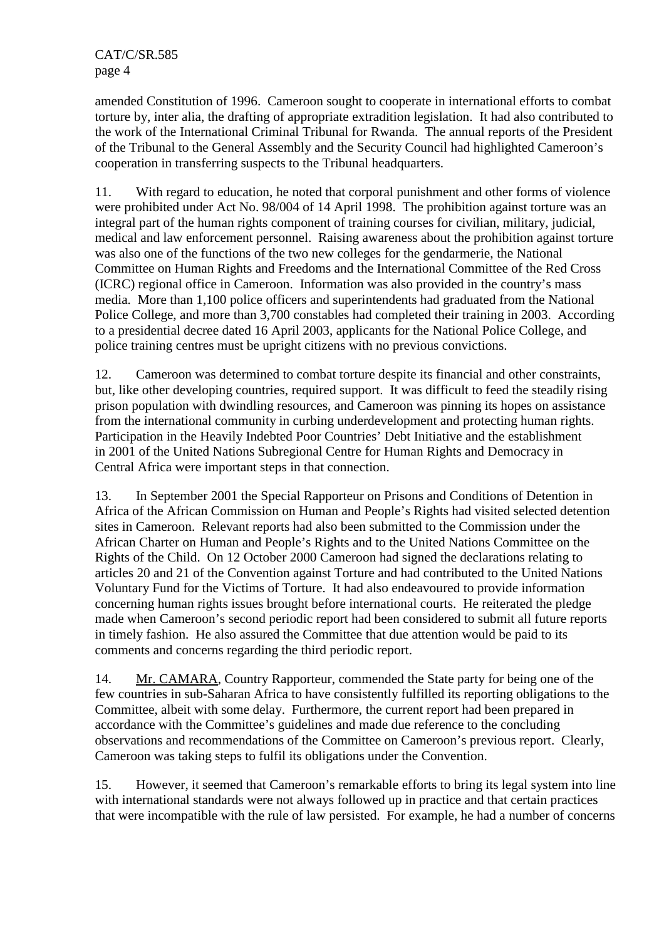amended Constitution of 1996. Cameroon sought to cooperate in international efforts to combat torture by, inter alia, the drafting of appropriate extradition legislation. It had also contributed to the work of the International Criminal Tribunal for Rwanda. The annual reports of the President of the Tribunal to the General Assembly and the Security Council had highlighted Cameroon's cooperation in transferring suspects to the Tribunal headquarters.

11. With regard to education, he noted that corporal punishment and other forms of violence were prohibited under Act No. 98/004 of 14 April 1998. The prohibition against torture was an integral part of the human rights component of training courses for civilian, military, judicial, medical and law enforcement personnel. Raising awareness about the prohibition against torture was also one of the functions of the two new colleges for the gendarmerie, the National Committee on Human Rights and Freedoms and the International Committee of the Red Cross (ICRC) regional office in Cameroon. Information was also provided in the country's mass media. More than 1,100 police officers and superintendents had graduated from the National Police College, and more than 3,700 constables had completed their training in 2003. According to a presidential decree dated 16 April 2003, applicants for the National Police College, and police training centres must be upright citizens with no previous convictions.

12. Cameroon was determined to combat torture despite its financial and other constraints, but, like other developing countries, required support. It was difficult to feed the steadily rising prison population with dwindling resources, and Cameroon was pinning its hopes on assistance from the international community in curbing underdevelopment and protecting human rights. Participation in the Heavily Indebted Poor Countries' Debt Initiative and the establishment in 2001 of the United Nations Subregional Centre for Human Rights and Democracy in Central Africa were important steps in that connection.

13. In September 2001 the Special Rapporteur on Prisons and Conditions of Detention in Africa of the African Commission on Human and People's Rights had visited selected detention sites in Cameroon. Relevant reports had also been submitted to the Commission under the African Charter on Human and People's Rights and to the United Nations Committee on the Rights of the Child. On 12 October 2000 Cameroon had signed the declarations relating to articles 20 and 21 of the Convention against Torture and had contributed to the United Nations Voluntary Fund for the Victims of Torture. It had also endeavoured to provide information concerning human rights issues brought before international courts. He reiterated the pledge made when Cameroon's second periodic report had been considered to submit all future reports in timely fashion. He also assured the Committee that due attention would be paid to its comments and concerns regarding the third periodic report.

14. Mr. CAMARA, Country Rapporteur, commended the State party for being one of the few countries in sub-Saharan Africa to have consistently fulfilled its reporting obligations to the Committee, albeit with some delay. Furthermore, the current report had been prepared in accordance with the Committee's guidelines and made due reference to the concluding observations and recommendations of the Committee on Cameroon's previous report. Clearly, Cameroon was taking steps to fulfil its obligations under the Convention.

15. However, it seemed that Cameroon's remarkable efforts to bring its legal system into line with international standards were not always followed up in practice and that certain practices that were incompatible with the rule of law persisted. For example, he had a number of concerns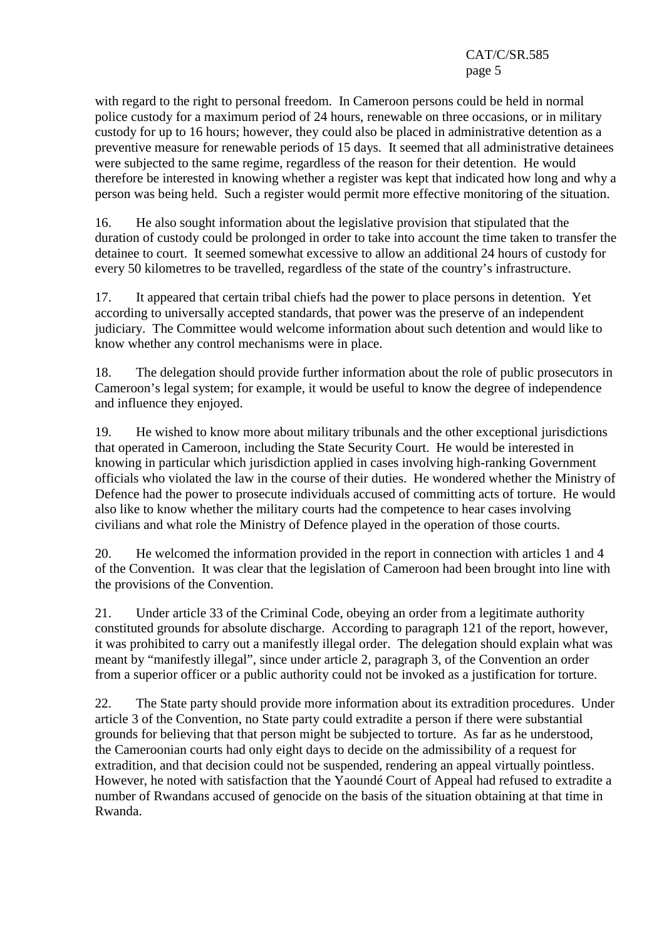with regard to the right to personal freedom. In Cameroon persons could be held in normal police custody for a maximum period of 24 hours, renewable on three occasions, or in military custody for up to 16 hours; however, they could also be placed in administrative detention as a preventive measure for renewable periods of 15 days. It seemed that all administrative detainees were subjected to the same regime, regardless of the reason for their detention. He would therefore be interested in knowing whether a register was kept that indicated how long and why a person was being held. Such a register would permit more effective monitoring of the situation.

16. He also sought information about the legislative provision that stipulated that the duration of custody could be prolonged in order to take into account the time taken to transfer the detainee to court. It seemed somewhat excessive to allow an additional 24 hours of custody for every 50 kilometres to be travelled, regardless of the state of the country's infrastructure.

17. It appeared that certain tribal chiefs had the power to place persons in detention. Yet according to universally accepted standards, that power was the preserve of an independent judiciary. The Committee would welcome information about such detention and would like to know whether any control mechanisms were in place.

18. The delegation should provide further information about the role of public prosecutors in Cameroon's legal system; for example, it would be useful to know the degree of independence and influence they enjoyed.

19. He wished to know more about military tribunals and the other exceptional jurisdictions that operated in Cameroon, including the State Security Court. He would be interested in knowing in particular which jurisdiction applied in cases involving high-ranking Government officials who violated the law in the course of their duties. He wondered whether the Ministry of Defence had the power to prosecute individuals accused of committing acts of torture. He would also like to know whether the military courts had the competence to hear cases involving civilians and what role the Ministry of Defence played in the operation of those courts.

20. He welcomed the information provided in the report in connection with articles 1 and 4 of the Convention. It was clear that the legislation of Cameroon had been brought into line with the provisions of the Convention.

21. Under article 33 of the Criminal Code, obeying an order from a legitimate authority constituted grounds for absolute discharge. According to paragraph 121 of the report, however, it was prohibited to carry out a manifestly illegal order. The delegation should explain what was meant by "manifestly illegal", since under article 2, paragraph 3, of the Convention an order from a superior officer or a public authority could not be invoked as a justification for torture.

22. The State party should provide more information about its extradition procedures. Under article 3 of the Convention, no State party could extradite a person if there were substantial grounds for believing that that person might be subjected to torture. As far as he understood, the Cameroonian courts had only eight days to decide on the admissibility of a request for extradition, and that decision could not be suspended, rendering an appeal virtually pointless. However, he noted with satisfaction that the Yaoundé Court of Appeal had refused to extradite a number of Rwandans accused of genocide on the basis of the situation obtaining at that time in Rwanda.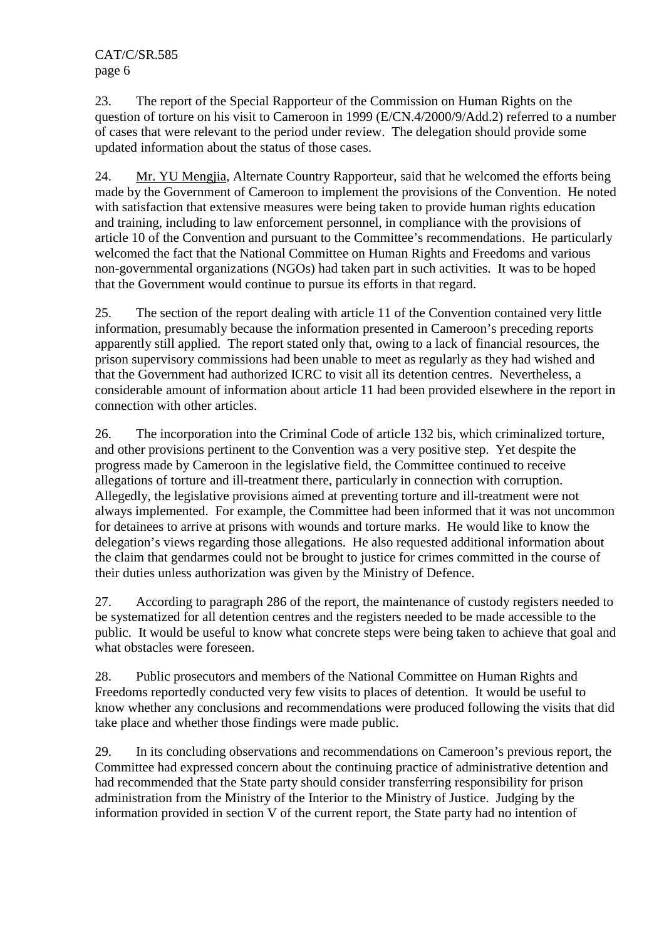23. The report of the Special Rapporteur of the Commission on Human Rights on the question of torture on his visit to Cameroon in 1999 (E/CN.4/2000/9/Add.2) referred to a number of cases that were relevant to the period under review. The delegation should provide some updated information about the status of those cases.

24. Mr. YU Mengjia, Alternate Country Rapporteur, said that he welcomed the efforts being made by the Government of Cameroon to implement the provisions of the Convention. He noted with satisfaction that extensive measures were being taken to provide human rights education and training, including to law enforcement personnel, in compliance with the provisions of article 10 of the Convention and pursuant to the Committee's recommendations. He particularly welcomed the fact that the National Committee on Human Rights and Freedoms and various non-governmental organizations (NGOs) had taken part in such activities. It was to be hoped that the Government would continue to pursue its efforts in that regard.

25. The section of the report dealing with article 11 of the Convention contained very little information, presumably because the information presented in Cameroon's preceding reports apparently still applied. The report stated only that, owing to a lack of financial resources, the prison supervisory commissions had been unable to meet as regularly as they had wished and that the Government had authorized ICRC to visit all its detention centres. Nevertheless, a considerable amount of information about article 11 had been provided elsewhere in the report in connection with other articles.

26. The incorporation into the Criminal Code of article 132 bis, which criminalized torture, and other provisions pertinent to the Convention was a very positive step. Yet despite the progress made by Cameroon in the legislative field, the Committee continued to receive allegations of torture and ill-treatment there, particularly in connection with corruption. Allegedly, the legislative provisions aimed at preventing torture and ill-treatment were not always implemented. For example, the Committee had been informed that it was not uncommon for detainees to arrive at prisons with wounds and torture marks. He would like to know the delegation's views regarding those allegations. He also requested additional information about the claim that gendarmes could not be brought to justice for crimes committed in the course of their duties unless authorization was given by the Ministry of Defence.

27. According to paragraph 286 of the report, the maintenance of custody registers needed to be systematized for all detention centres and the registers needed to be made accessible to the public. It would be useful to know what concrete steps were being taken to achieve that goal and what obstacles were foreseen.

28. Public prosecutors and members of the National Committee on Human Rights and Freedoms reportedly conducted very few visits to places of detention. It would be useful to know whether any conclusions and recommendations were produced following the visits that did take place and whether those findings were made public.

29. In its concluding observations and recommendations on Cameroon's previous report, the Committee had expressed concern about the continuing practice of administrative detention and had recommended that the State party should consider transferring responsibility for prison administration from the Ministry of the Interior to the Ministry of Justice. Judging by the information provided in section V of the current report, the State party had no intention of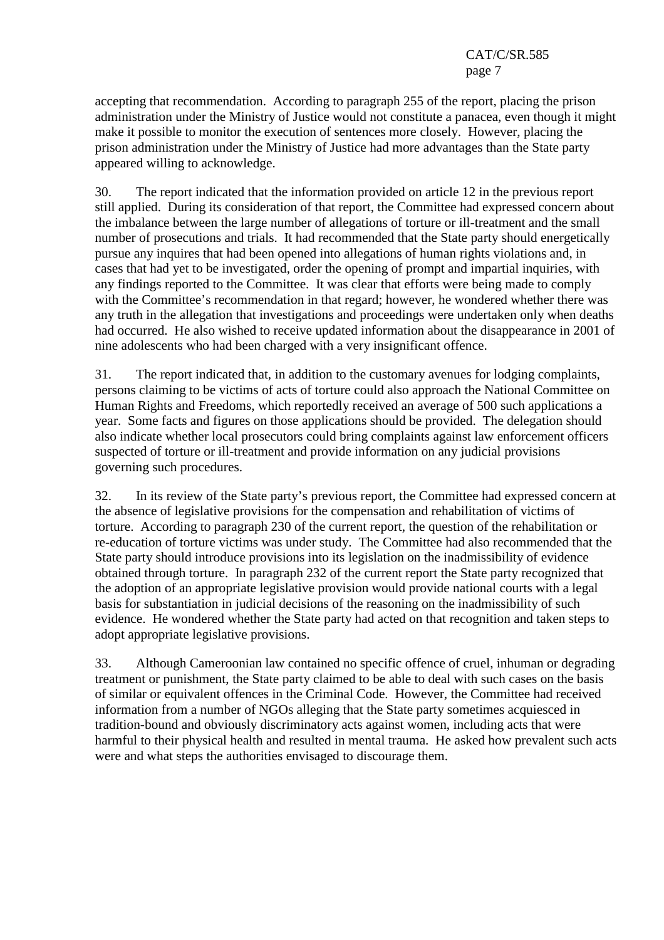accepting that recommendation. According to paragraph 255 of the report, placing the prison administration under the Ministry of Justice would not constitute a panacea, even though it might make it possible to monitor the execution of sentences more closely. However, placing the prison administration under the Ministry of Justice had more advantages than the State party appeared willing to acknowledge.

30. The report indicated that the information provided on article 12 in the previous report still applied. During its consideration of that report, the Committee had expressed concern about the imbalance between the large number of allegations of torture or ill-treatment and the small number of prosecutions and trials. It had recommended that the State party should energetically pursue any inquires that had been opened into allegations of human rights violations and, in cases that had yet to be investigated, order the opening of prompt and impartial inquiries, with any findings reported to the Committee. It was clear that efforts were being made to comply with the Committee's recommendation in that regard; however, he wondered whether there was any truth in the allegation that investigations and proceedings were undertaken only when deaths had occurred. He also wished to receive updated information about the disappearance in 2001 of nine adolescents who had been charged with a very insignificant offence.

31. The report indicated that, in addition to the customary avenues for lodging complaints, persons claiming to be victims of acts of torture could also approach the National Committee on Human Rights and Freedoms, which reportedly received an average of 500 such applications a year. Some facts and figures on those applications should be provided. The delegation should also indicate whether local prosecutors could bring complaints against law enforcement officers suspected of torture or ill-treatment and provide information on any judicial provisions governing such procedures.

32. In its review of the State party's previous report, the Committee had expressed concern at the absence of legislative provisions for the compensation and rehabilitation of victims of torture. According to paragraph 230 of the current report, the question of the rehabilitation or re-education of torture victims was under study. The Committee had also recommended that the State party should introduce provisions into its legislation on the inadmissibility of evidence obtained through torture. In paragraph 232 of the current report the State party recognized that the adoption of an appropriate legislative provision would provide national courts with a legal basis for substantiation in judicial decisions of the reasoning on the inadmissibility of such evidence. He wondered whether the State party had acted on that recognition and taken steps to adopt appropriate legislative provisions.

33. Although Cameroonian law contained no specific offence of cruel, inhuman or degrading treatment or punishment, the State party claimed to be able to deal with such cases on the basis of similar or equivalent offences in the Criminal Code. However, the Committee had received information from a number of NGOs alleging that the State party sometimes acquiesced in tradition-bound and obviously discriminatory acts against women, including acts that were harmful to their physical health and resulted in mental trauma. He asked how prevalent such acts were and what steps the authorities envisaged to discourage them.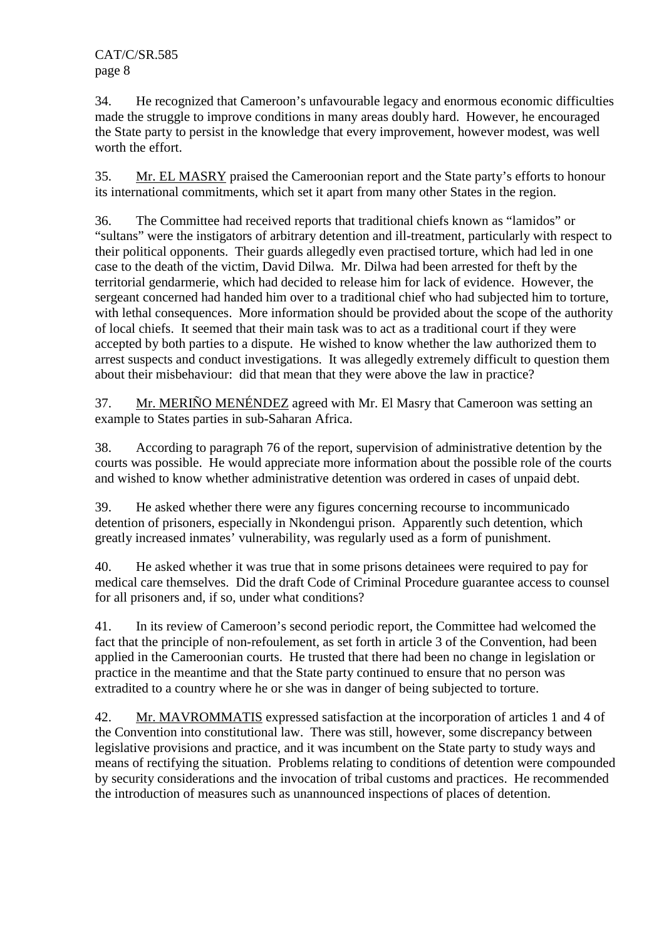34. He recognized that Cameroon's unfavourable legacy and enormous economic difficulties made the struggle to improve conditions in many areas doubly hard. However, he encouraged the State party to persist in the knowledge that every improvement, however modest, was well worth the effort.

35. Mr. EL MASRY praised the Cameroonian report and the State party's efforts to honour its international commitments, which set it apart from many other States in the region.

36. The Committee had received reports that traditional chiefs known as "lamidos" or "sultans" were the instigators of arbitrary detention and ill-treatment, particularly with respect to their political opponents. Their guards allegedly even practised torture, which had led in one case to the death of the victim, David Dilwa. Mr. Dilwa had been arrested for theft by the territorial gendarmerie, which had decided to release him for lack of evidence. However, the sergeant concerned had handed him over to a traditional chief who had subjected him to torture, with lethal consequences. More information should be provided about the scope of the authority of local chiefs. It seemed that their main task was to act as a traditional court if they were accepted by both parties to a dispute. He wished to know whether the law authorized them to arrest suspects and conduct investigations. It was allegedly extremely difficult to question them about their misbehaviour: did that mean that they were above the law in practice?

37. Mr. MERIÑO MENÉNDEZ agreed with Mr. El Masry that Cameroon was setting an example to States parties in sub-Saharan Africa.

38. According to paragraph 76 of the report, supervision of administrative detention by the courts was possible. He would appreciate more information about the possible role of the courts and wished to know whether administrative detention was ordered in cases of unpaid debt.

39. He asked whether there were any figures concerning recourse to incommunicado detention of prisoners, especially in Nkondengui prison. Apparently such detention, which greatly increased inmates' vulnerability, was regularly used as a form of punishment.

40. He asked whether it was true that in some prisons detainees were required to pay for medical care themselves. Did the draft Code of Criminal Procedure guarantee access to counsel for all prisoners and, if so, under what conditions?

41. In its review of Cameroon's second periodic report, the Committee had welcomed the fact that the principle of non-refoulement, as set forth in article 3 of the Convention, had been applied in the Cameroonian courts. He trusted that there had been no change in legislation or practice in the meantime and that the State party continued to ensure that no person was extradited to a country where he or she was in danger of being subjected to torture.

42. Mr. MAVROMMATIS expressed satisfaction at the incorporation of articles 1 and 4 of the Convention into constitutional law. There was still, however, some discrepancy between legislative provisions and practice, and it was incumbent on the State party to study ways and means of rectifying the situation. Problems relating to conditions of detention were compounded by security considerations and the invocation of tribal customs and practices. He recommended the introduction of measures such as unannounced inspections of places of detention.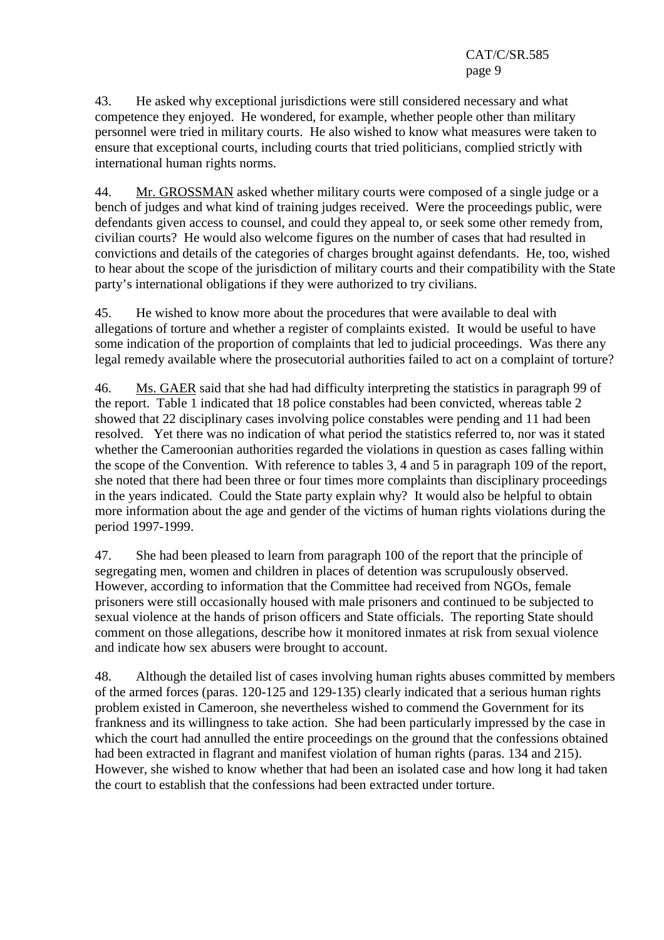43. He asked why exceptional jurisdictions were still considered necessary and what competence they enjoyed. He wondered, for example, whether people other than military personnel were tried in military courts. He also wished to know what measures were taken to ensure that exceptional courts, including courts that tried politicians, complied strictly with international human rights norms.

44. Mr. GROSSMAN asked whether military courts were composed of a single judge or a bench of judges and what kind of training judges received. Were the proceedings public, were defendants given access to counsel, and could they appeal to, or seek some other remedy from, civilian courts? He would also welcome figures on the number of cases that had resulted in convictions and details of the categories of charges brought against defendants. He, too, wished to hear about the scope of the jurisdiction of military courts and their compatibility with the State party's international obligations if they were authorized to try civilians.

45. He wished to know more about the procedures that were available to deal with allegations of torture and whether a register of complaints existed. It would be useful to have some indication of the proportion of complaints that led to judicial proceedings. Was there any legal remedy available where the prosecutorial authorities failed to act on a complaint of torture?

46. Ms. GAER said that she had had difficulty interpreting the statistics in paragraph 99 of the report. Table 1 indicated that 18 police constables had been convicted, whereas table 2 showed that 22 disciplinary cases involving police constables were pending and 11 had been resolved. Yet there was no indication of what period the statistics referred to, nor was it stated whether the Cameroonian authorities regarded the violations in question as cases falling within the scope of the Convention. With reference to tables 3, 4 and 5 in paragraph 109 of the report, she noted that there had been three or four times more complaints than disciplinary proceedings in the years indicated. Could the State party explain why? It would also be helpful to obtain more information about the age and gender of the victims of human rights violations during the period 1997-1999.

47. She had been pleased to learn from paragraph 100 of the report that the principle of segregating men, women and children in places of detention was scrupulously observed. However, according to information that the Committee had received from NGOs, female prisoners were still occasionally housed with male prisoners and continued to be subjected to sexual violence at the hands of prison officers and State officials. The reporting State should comment on those allegations, describe how it monitored inmates at risk from sexual violence and indicate how sex abusers were brought to account.

48. Although the detailed list of cases involving human rights abuses committed by members of the armed forces (paras. 120-125 and 129-135) clearly indicated that a serious human rights problem existed in Cameroon, she nevertheless wished to commend the Government for its frankness and its willingness to take action. She had been particularly impressed by the case in which the court had annulled the entire proceedings on the ground that the confessions obtained had been extracted in flagrant and manifest violation of human rights (paras. 134 and 215). However, she wished to know whether that had been an isolated case and how long it had taken the court to establish that the confessions had been extracted under torture.